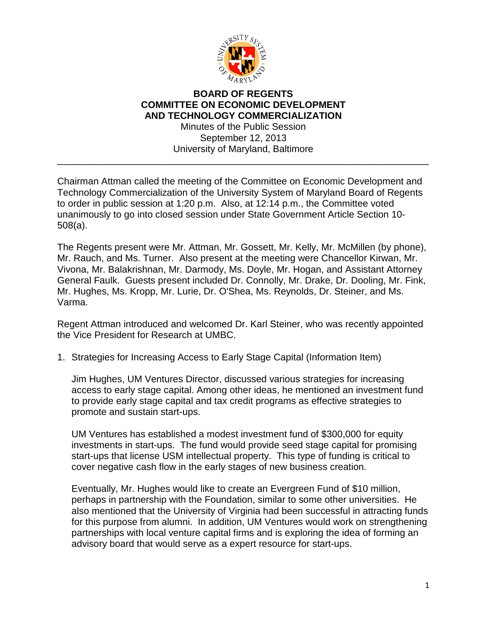

## **BOARD OF REGENTS COMMITTEE ON ECONOMIC DEVELOPMENT AND TECHNOLOGY COMMERCIALIZATION**

Minutes of the Public Session September 12, 2013 University of Maryland, Baltimore

\_\_\_\_\_\_\_\_\_\_\_\_\_\_\_\_\_\_\_\_\_\_\_\_\_\_\_\_\_\_\_\_\_\_\_\_\_\_\_\_\_\_\_\_\_\_\_\_\_\_\_\_\_\_\_\_\_\_\_\_\_\_\_\_\_\_\_\_\_\_

Chairman Attman called the meeting of the Committee on Economic Development and Technology Commercialization of the University System of Maryland Board of Regents to order in public session at 1:20 p.m. Also, at 12:14 p.m., the Committee voted unanimously to go into closed session under State Government Article Section 10- 508(a).

The Regents present were Mr. Attman, Mr. Gossett, Mr. Kelly, Mr. McMillen (by phone), Mr. Rauch, and Ms. Turner. Also present at the meeting were Chancellor Kirwan, Mr. Vivona, Mr. Balakrishnan, Mr. Darmody, Ms. Doyle, Mr. Hogan, and Assistant Attorney General Faulk. Guests present included Dr. Connolly, Mr. Drake, Dr. Dooling, Mr. Fink, Mr. Hughes, Ms. Kropp, Mr. Lurie, Dr. O'Shea, Ms. Reynolds, Dr. Steiner, and Ms. Varma.

Regent Attman introduced and welcomed Dr. Karl Steiner, who was recently appointed the Vice President for Research at UMBC.

1. Strategies for Increasing Access to Early Stage Capital (Information Item)

Jim Hughes, UM Ventures Director, discussed various strategies for increasing access to early stage capital. Among other ideas, he mentioned an investment fund to provide early stage capital and tax credit programs as effective strategies to promote and sustain start-ups.

UM Ventures has established a modest investment fund of \$300,000 for equity investments in start-ups. The fund would provide seed stage capital for promising start-ups that license USM intellectual property. This type of funding is critical to cover negative cash flow in the early stages of new business creation.

Eventually, Mr. Hughes would like to create an Evergreen Fund of \$10 million, perhaps in partnership with the Foundation, similar to some other universities. He also mentioned that the University of Virginia had been successful in attracting funds for this purpose from alumni. In addition, UM Ventures would work on strengthening partnerships with local venture capital firms and is exploring the idea of forming an advisory board that would serve as a expert resource for start-ups.